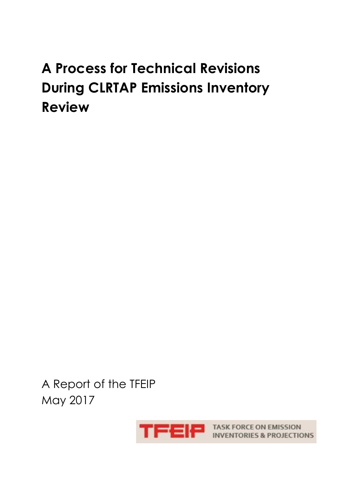# **A Process for Technical Revisions During CLRTAP Emissions Inventory Review**

A Report of the TFEIP May 2017



**EP EP TASK FORCE ON EMISSION**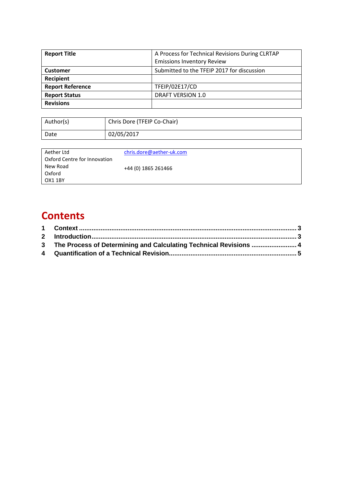| <b>Report Title</b>     | A Process for Technical Revisions During CLRTAP |
|-------------------------|-------------------------------------------------|
|                         | <b>Emissions Inventory Review</b>               |
| <b>Customer</b>         | Submitted to the TFEIP 2017 for discussion      |
| Recipient               |                                                 |
| <b>Report Reference</b> | TFEIP/02E17/CD                                  |
| <b>Report Status</b>    | DRAFT VERSION 1.0                               |
| <b>Revisions</b>        |                                                 |

| Author(s) | Chris Dore (TFEIP Co-Chair) |
|-----------|-----------------------------|
| Date      | 02/05/2017                  |

| Aether Ltd<br>Oxford Centre for Innovation | chris.dore@aether-uk.com |
|--------------------------------------------|--------------------------|
| New Road                                   | +44 (0) 1865 261466      |
| Oxford                                     |                          |
| OX1 1BY                                    |                          |

#### **Contents**

| 3 The Process of Determining and Calculating Technical Revisions  4 |
|---------------------------------------------------------------------|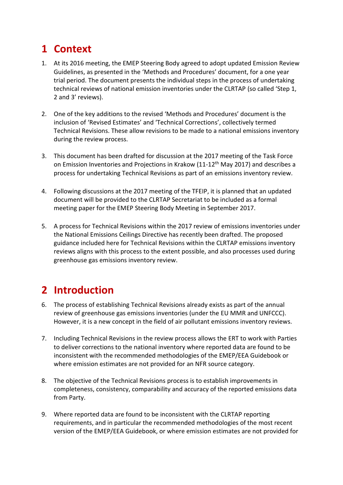### <span id="page-2-0"></span>**1 Context**

- 1. At its 2016 meeting, the EMEP Steering Body agreed to adopt updated Emission Review Guidelines, as presented in the 'Methods and Procedures' document, for a one year trial period. The document presents the individual steps in the process of undertaking technical reviews of national emission inventories under the CLRTAP (so called 'Step 1, 2 and 3' reviews).
- 2. One of the key additions to the revised 'Methods and Procedures' document is the inclusion of 'Revised Estimates' and 'Technical Corrections', collectively termed Technical Revisions. These allow revisions to be made to a national emissions inventory during the review process.
- 3. This document has been drafted for discussion at the 2017 meeting of the Task Force on Emission Inventories and Projections in Krakow (11-12<sup>th</sup> May 2017) and describes a process for undertaking Technical Revisions as part of an emissions inventory review.
- 4. Following discussions at the 2017 meeting of the TFEIP, it is planned that an updated document will be provided to the CLRTAP Secretariat to be included as a formal meeting paper for the EMEP Steering Body Meeting in September 2017.
- 5. A process for Technical Revisions within the 2017 review of emissions inventories under the National Emissions Ceilings Directive has recently been drafted. The proposed guidance included here for Technical Revisions within the CLRTAP emissions inventory reviews aligns with this process to the extent possible, and also processes used during greenhouse gas emissions inventory review.

### <span id="page-2-1"></span>**2 Introduction**

- 6. The process of establishing Technical Revisions already exists as part of the annual review of greenhouse gas emissions inventories (under the EU MMR and UNFCCC). However, it is a new concept in the field of air pollutant emissions inventory reviews.
- 7. Including Technical Revisions in the review process allows the ERT to work with Parties to deliver corrections to the national inventory where reported data are found to be inconsistent with the recommended methodologies of the EMEP/EEA Guidebook or where emission estimates are not provided for an NFR source category.
- 8. The objective of the Technical Revisions process is to establish improvements in completeness, consistency, comparability and accuracy of the reported emissions data from Party.
- 9. Where reported data are found to be inconsistent with the CLRTAP reporting requirements, and in particular the recommended methodologies of the most recent version of the EMEP/EEA Guidebook, or where emission estimates are not provided for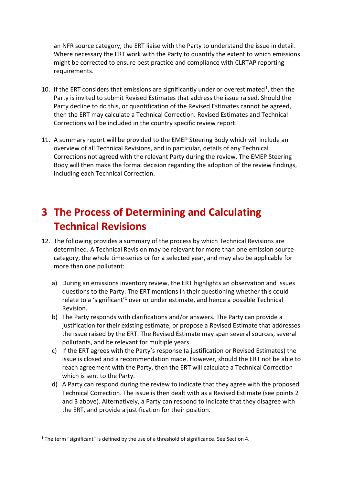an NFR source category, the ERT liaise with the Party to understand the issue in detail. Where necessary the ERT work with the Party to quantify the extent to which emissions might be corrected to ensure best practice and compliance with CLRTAP reporting requirements.

- 10. If the ERT considers that emissions are significantly under or overestimated<sup>1</sup>, then the Party is invited to submit Revised Estimates that address the issue raised. Should the Party decline to do this, or quantification of the Revised Estimates cannot be agreed, then the ERT may calculate a Technical Correction. Revised Estimates and Technical Corrections will be included in the country specific review report.
- 11. A summary report will be provided to the EMEP Steering Body which will include an overview of all Technical Revisions, and in particular, details of any Technical Corrections not agreed with the relevant Party during the review. The EMEP Steering Body will then make the formal decision regarding the adoption of the review findings, including each Technical Correction.

## <span id="page-3-0"></span>**3 The Process of Determining and Calculating Technical Revisions**

- 12. The following provides a summary of the process by which Technical Revisions are determined. A Technical Revision may be relevant for more than one emission source category, the whole time-series or for a selected year, and may also be applicable for more than one pollutant:
	- a) During an emissions inventory review, the ERT highlights an observation and issues questions to the Party. The ERT mentions in their questioning whether this could relate to a 'significant'<sup>1</sup> over or under estimate, and hence a possible Technical Revision.
	- b) The Party responds with clarifications and/or answers. The Party can provide a justification for their existing estimate, or propose a Revised Estimate that addresses the issue raised by the ERT. The Revised Estimate may span several sources, several pollutants, and be relevant for multiple years.
	- c) If the ERT agrees with the Party's response (a justification or Revised Estimates) the issue is closed and a recommendation made. However, should the ERT not be able to reach agreement with the Party, then the ERT will calculate a Technical Correction which is sent to the Party.
	- d) A Party can respond during the review to indicate that they agree with the proposed Technical Correction. The issue is then dealt with as a Revised Estimate (see points 2 and 3 above). Alternatively, a Party can respond to indicate that they disagree with the ERT, and provide a justification for their position.

 $\overline{a}$ 

 $1$  The term "significant" is defined by the use of a threshold of significance. See Section 4.